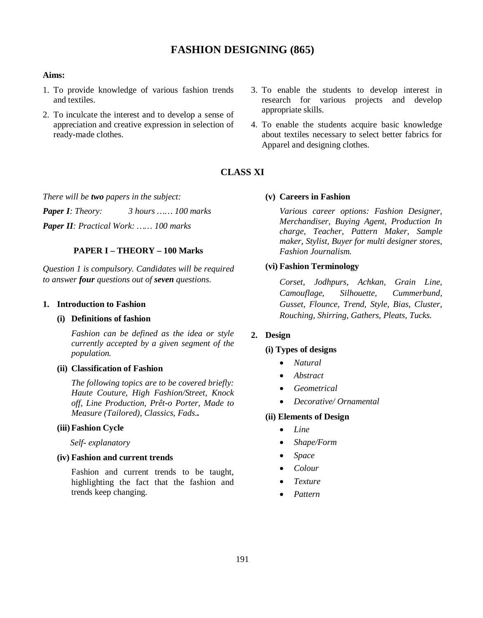# **FASHION DESIGNING (865)**

#### **Aims:**

- 1. To provide knowledge of various fashion trends and textiles.
- 2. To inculcate the interest and to develop a sense of appreciation and creative expression in selection of ready-made clothes.
- 3. To enable the students to develop interest in research for various projects and develop appropriate skills.
- 4. To enable the students acquire basic knowledge about textiles necessary to select better fabrics for Apparel and designing clothes.

# **CLASS XI**

*There will be two papers in the subject:*

*Paper I: Theory: 3 hours …… 100 marks Paper II: Practical Work: …… 100 marks*

### **PAPER I – THEORY – 100 Marks**

*Question 1 is compulsory. Candidates will be required to answer four questions out of seven questions.*

#### **1. Introduction to Fashion**

#### **(i) Definitions of fashion**

*Fashion can be defined as the idea or style currently accepted by a given segment of the population.*

### **(ii) Classification of Fashion**

*The following topics are to be covered briefly: Haute Couture, High Fashion/Street, Knock off, Line Production, Prêt-o Porter, Made to Measure (Tailored), Classics, Fads..*

#### **(iii)Fashion Cycle**

 *Self- explanatory*

### **(iv) Fashion and current trends**

Fashion and current trends to be taught, highlighting the fact that the fashion and trends keep changing.

**(v) Careers in Fashion**

*Various career options: Fashion Designer, Merchandiser, Buying Agent, Production In charge, Teacher, Pattern Maker, Sample maker, Stylist, Buyer for multi designer stores, Fashion Journalism.*

#### **(vi) Fashion Terminology**

*Corset, Jodhpurs, Achkan, Grain Line, Camouflage, Silhouette, Cummerbund, Gusset, Flounce, Trend, Style, Bias, Cluster, Rouching, Shirring, Gathers, Pleats, Tucks.*

### **2. Design**

#### **(i) Types of designs**

- *Natural*
- *Abstract*
- *Geometrical*
- *Decorative/ Ornamental*

#### **(ii) Elements of Design**

- $\bullet$  *Line*
- *Shape/Form*
- *Space*
- *Colour*
- *Texture*
- *Pattern*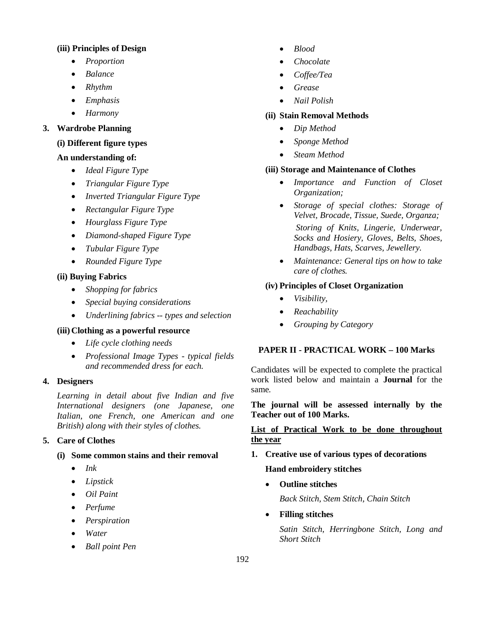### **(iii) Principles of Design**

- *Proportion*
- *Balance*
- *Rhythm*
- *Emphasis*
- *Harmony*

# **3. Wardrobe Planning**

# **(i) Different figure types**

### **An understanding of:**

- *Ideal Figure Type*
- *Triangular Figure Type*
- *Inverted Triangular Figure Type*
- *Rectangular Figure Type*
- *Hourglass Figure Type*
- *Diamond-shaped Figure Type*
- *Tubular Figure Type*
- *Rounded Figure Type*

### **(ii) Buying Fabrics**

- *Shopping for fabrics*
- *Special buying considerations*
- *Underlining fabrics -- types and selection*

#### **(iii) Clothing as a powerful resource**

- *Life cycle clothing needs*
- *Professional Image Types typical fields and recommended dress for each.*

#### **4. Designers**

*Learning in detail about five Indian and five International designers (one Japanese, one Italian, one French, one American and one British) along with their styles of clothes.*

# **5. Care of Clothes**

# **(i) Some common stains and their removal**

- *Ink*
- *Lipstick*
- *Oil Paint*
- *Perfume*
- *Perspiration*
- *Water*
- *Ball point Pen*
- *Blood*
- *Chocolate*
- *Coffee/Tea*
- *Grease*
- *Nail Polish*

### **(ii) Stain Removal Methods**

- *Dip Method*
- *Sponge Method*
- *Steam Method*

### **(iii) Storage and Maintenance of Clothes**

- *Importance and Function of Closet Organization;*
- *Storage of special clothes: Storage of Velvet, Brocade, Tissue, Suede, Organza; Storing of Knits, Lingerie, Underwear, Socks and Hosiery, Gloves, Belts, Shoes, Handbags, Hats, Scarves, Jewellery.*
- *Maintenance: General tips on how to take care of clothes.*

# **(iv) Principles of Closet Organization**

- *Visibility,*
- *Reachability*
- *Grouping by Category*

# **PAPER II - PRACTICAL WORK – 100 Marks**

Candidates will be expected to complete the practical work listed below and maintain a **Journal** for the same.

### **The journal will be assessed internally by the Teacher out of 100 Marks.**

# **List of Practical Work to be done throughout the year**

**1. Creative use of various types of decorations**

# **Hand embroidery stitches**

**Outline stitches**

*Back Stitch, Stem Stitch, Chain Stitch*

**Filling stitches**

*Satin Stitch, Herringbone Stitch, Long and Short Stitch*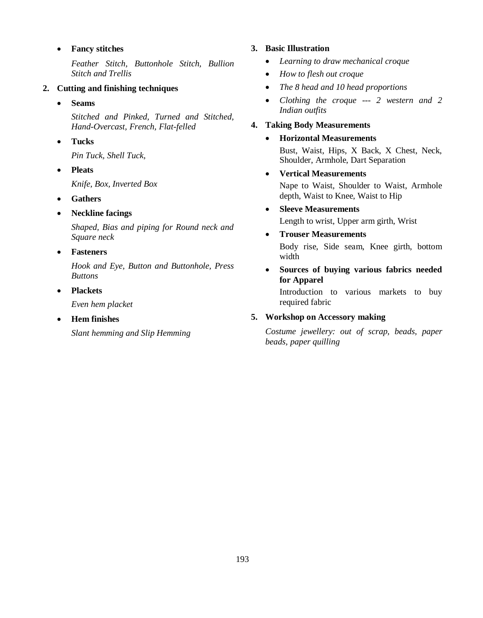# **Fancy stitches**

*Feather Stitch, Buttonhole Stitch, Bullion Stitch and Trellis*

### **2. Cutting and finishing techniques**

**Seams** 

*Stitched and Pinked, Turned and Stitched, Hand-Overcast, French, Flat-felled*

**Tucks**

*Pin Tuck, Shell Tuck,*

**Pleats** 

*Knife, Box, Inverted Box*

- **Gathers**
- **Neckline facings**

*Shaped, Bias and piping for Round neck and Square neck*

**Fasteners** 

*Hook and Eye, Button and Buttonhole, Press Buttons* 

**Plackets** 

*Even hem placket*

**Hem finishes**

*Slant hemming and Slip Hemming* 

# **3. Basic Illustration**

- *Learning to draw mechanical croque*
- *How to flesh out croque*
- *The 8 head and 10 head proportions*
- *Clothing the croque --- 2 western and 2 Indian outfits*

# **4. Taking Body Measurements**

### **Horizontal Measurements**

Bust, Waist, Hips, X Back, X Chest, Neck, Shoulder, Armhole, Dart Separation

**Vertical Measurements**

Nape to Waist, Shoulder to Waist, Armhole depth, Waist to Knee, Waist to Hip

**Sleeve Measurements**

Length to wrist, Upper arm girth, Wrist

**Trouser Measurements**

Body rise, Side seam, Knee girth, bottom width

 **Sources of buying various fabrics needed for Apparel**

Introduction to various markets to buy required fabric

# **5. Workshop on Accessory making**

*Costume jewellery: out of scrap, beads, paper beads, paper quilling*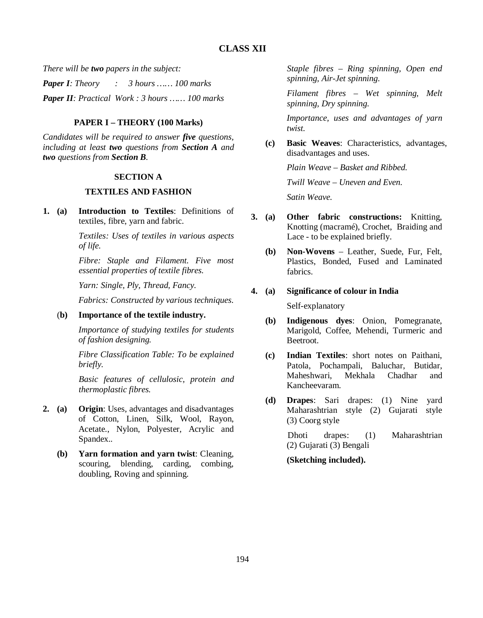*There will be two papers in the subject:*

*Paper I: Theory : 3 hours …… 100 marks*

*Paper II: Practical Work : 3 hours …… 100 marks*

# **PAPER I – THEORY (100 Marks)**

*Candidates will be required to answer five questions, including at least two questions from Section A and two questions from Section B.*

### **SECTION A**

# **TEXTILES AND FASHION**

**1. (a) Introduction to Textiles**: Definitions of textiles, fibre, yarn and fabric.

> *Textiles: Uses of textiles in various aspects of life.*

> *Fibre: Staple and Filament. Five most essential properties of textile fibres.*

*Yarn: Single, Ply, Thread, Fancy.*

*Fabrics: Constructed by various techniques.*

(**b) Importance of the textile industry.**

*Importance of studying textiles for students of fashion designing.* 

*Fibre Classification Table: To be explained briefly.*

*Basic features of cellulosic, protein and thermoplastic fibres.*

- **2. (a) Origin**: Uses, advantages and disadvantages of Cotton, Linen, Silk, Wool, Rayon, Acetate., Nylon, Polyester, Acrylic and Spandex.*.*
	- **(b) Yarn formation and yarn twist**: Cleaning, scouring, blending, carding, combing, doubling, Roving and spinning.

*Staple fibres – Ring spinning, Open end spinning, Air-Jet spinning.* 

*Filament fibres* – *Wet spinning, Melt spinning, Dry spinning.*

*Importance, uses and advantages of yarn twist.*

 **(c) Basic Weaves**: Characteristics, advantages, disadvantages and uses.

*Plain Weave – Basket and Ribbed.*

 *Twill Weave – Uneven and Even.* 

 *Satin Weave.*

- **3. (a) Other fabric constructions:** Knitting, Knotting (macramé), Crochet, Braiding and Lace - to be explained briefly.
	- **(b) Non-Wovens** Leather, Suede, Fur, Felt, Plastics, Bonded, Fused and Laminated fabrics.

# **4. (a) Significance of colour in India**

Self-explanatory

- **(b) Indigenous dyes**: Onion, Pomegranate, Marigold, Coffee, Mehendi, Turmeric and Beetroot.
- **(c) Indian Textiles**: short notes on Paithani, Patola, Pochampali, Baluchar, Butidar, Maheshwari, Mekhala Chadhar and Kancheevaram.
- **(d) Drapes**: Sari drapes: (1) Nine yard Maharashtrian style (2) Gujarati style (3) Coorg style

 Dhoti drapes: (1) Maharashtrian (2) Gujarati (3) Bengali

 **(Sketching included).**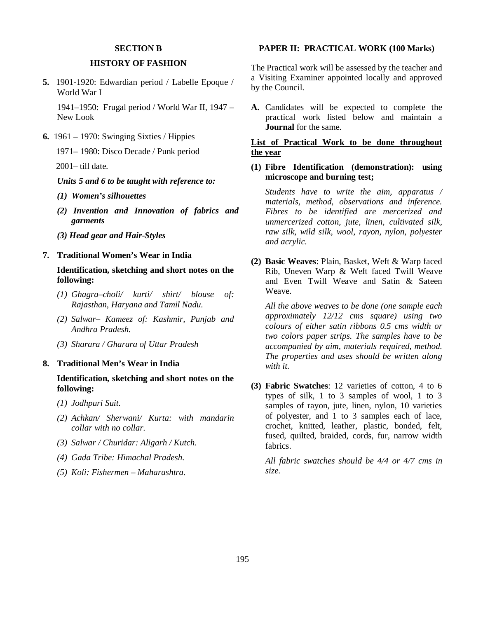#### **SECTION B**

### **HISTORY OF FASHION**

**5.** 1901-1920: Edwardian period / Labelle Epoque / World War I

1941–1950: Frugal period / World War II, 1947 – New Look

**6.** 1961 – 1970: Swinging Sixties / Hippies

1971– 1980: Disco Decade / Punk period

2001– till date.

*Units 5 and 6 to be taught with reference to:*

- *(1) Women's silhouettes*
- *(2) Invention and Innovation of fabrics and garments*
- *(3) Head gear and Hair-Styles*

#### **7. Traditional Women's Wear in India**

**Identification, sketching and short notes on the following:**

- *(1) Ghagra–choli/ kurti/ shirt/ blouse of: Rajasthan, Haryana and Tamil Nadu.*
- *(2) Salwar– Kameez of: Kashmir, Punjab and Andhra Pradesh.*
- *(3) Sharara / Gharara of Uttar Pradesh*

#### **8. Traditional Men's Wear in India**

**Identification, sketching and short notes on the following:**

- *(1) Jodhpuri Suit.*
- *(2) Achkan/ Sherwani/ Kurta: with mandarin collar with no collar.*
- *(3) Salwar / Churidar: Aligarh / Kutch.*
- *(4) Gada Tribe: Himachal Pradesh.*
- *(5) Koli: Fishermen Maharashtra.*

#### **PAPER II: PRACTICAL WORK (100 Marks)**

The Practical work will be assessed by the teacher and a Visiting Examiner appointed locally and approved by the Council.

**A.** Candidates will be expected to complete the practical work listed below and maintain a **Journal** for the same.

# **List of Practical Work to be done throughout the year**

### **(1) Fibre Identification (demonstration): using microscope and burning test;**

*Students have to write the aim, apparatus / materials, method, observations and inference. Fibres to be identified are mercerized and unmercerized cotton, jute, linen, cultivated silk, raw silk, wild silk, wool, rayon, nylon, polyester and acrylic.*

**(2) Basic Weaves**: Plain, Basket, Weft & Warp faced Rib, Uneven Warp & Weft faced Twill Weave and Even Twill Weave and Satin & Sateen Weave.

*All the above weaves to be done (one sample each approximately 12/12 cms square) using two colours of either satin ribbons 0.5 cms width or two colors paper strips. The samples have to be accompanied by aim, materials required, method. The properties and uses should be written along with it.*

**(3) Fabric Swatches**: 12 varieties of cotton, 4 to 6 types of silk, 1 to 3 samples of wool, 1 to 3 samples of rayon, jute, linen, nylon, 10 varieties of polyester, and 1 to 3 samples each of lace, crochet, knitted, leather, plastic, bonded, felt, fused, quilted, braided, cords, fur, narrow width fabrics.

*All fabric swatches should be 4/4 or 4/7 cms in size.*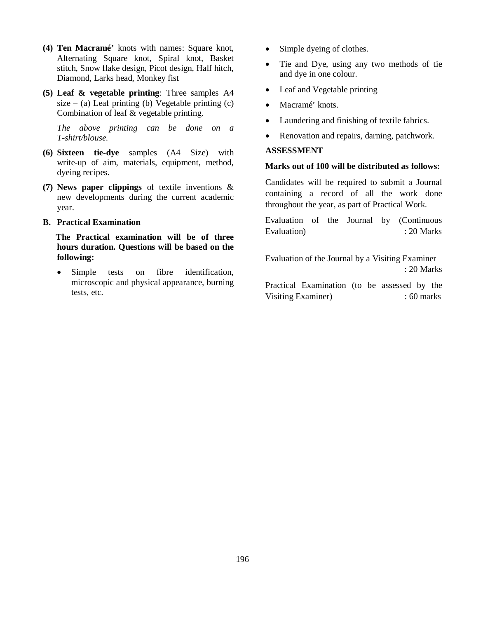- **(4) Ten Macramé'** knots with names: Square knot, Alternating Square knot, Spiral knot, Basket stitch, Snow flake design, Picot design, Half hitch, Diamond, Larks head, Monkey fist
- **(5) Leaf & vegetable printing**: Three samples A4 size – (a) Leaf printing (b) Vegetable printing (c) Combination of leaf & vegetable printing.

*The above printing can be done on a T-shirt/blouse.*

- **(6) Sixteen tie-dye** samples (A4 Size) with write-up of aim, materials, equipment, method, dyeing recipes.
- **(7) News paper clippings** of textile inventions & new developments during the current academic year.
- **B. Practical Examination**

 **The Practical examination will be of three hours duration. Questions will be based on the following:**

• Simple tests on fibre identification, microscopic and physical appearance, burning tests, etc.

- Simple dyeing of clothes.
- Tie and Dye, using any two methods of tie and dye in one colour.
- Leaf and Vegetable printing
- Macramé' knots.
- Laundering and finishing of textile fabrics.
- Renovation and repairs, darning, patchwork.

# **ASSESSMENT**

### **Marks out of 100 will be distributed as follows:**

Candidates will be required to submit a Journal containing a record of all the work done throughout the year, as part of Practical Work.

Evaluation of the Journal by (Continuous Evaluation) : 20 Marks

Evaluation of the Journal by a Visiting Examiner : 20 Marks

Practical Examination (to be assessed by the Visiting Examiner) : 60 marks